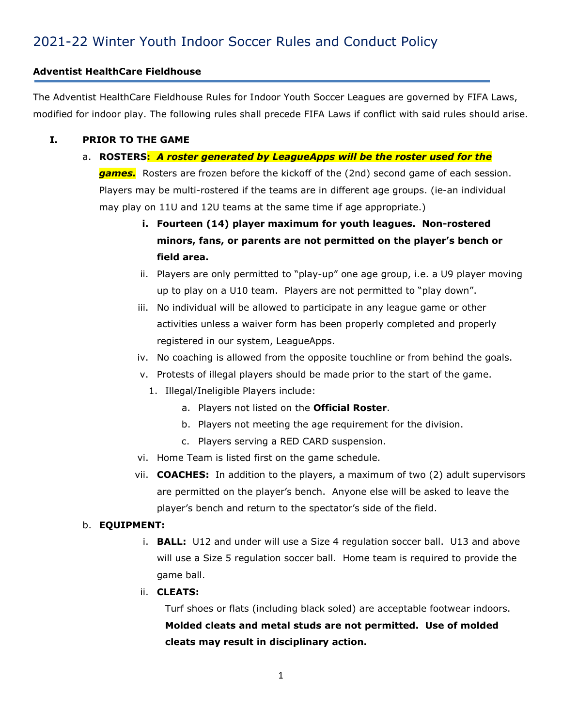# 2021-22 Winter Youth Indoor Soccer Rules and Conduct Policy

#### **Adventist HealthCare Fieldhouse**

The Adventist HealthCare Fieldhouse Rules for Indoor Youth Soccer Leagues are governed by FIFA Laws, modified for indoor play. The following rules shall precede FIFA Laws if conflict with said rules should arise.

#### **I. PRIOR TO THE GAME**

- a. **ROSTERS:** *A roster generated by LeagueApps will be the roster used for the games.* Rosters are frozen before the kickoff of the (2nd) second game of each session. Players may be multi-rostered if the teams are in different age groups. (ie-an individual may play on 11U and 12U teams at the same time if age appropriate.)
	- **i. Fourteen (14) player maximum for youth leagues. Non-rostered minors, fans, or parents are not permitted on the player's bench or field area.**
	- ii. Players are only permitted to "play-up" one age group, i.e. a U9 player moving up to play on a U10 team. Players are not permitted to "play down".
	- iii. No individual will be allowed to participate in any league game or other activities unless a waiver form has been properly completed and properly registered in our system, LeagueApps.
	- iv. No coaching is allowed from the opposite touchline or from behind the goals.
	- v. Protests of illegal players should be made prior to the start of the game.
		- 1. Illegal/Ineligible Players include:
			- a. Players not listed on the **Official Roster**.
			- b. Players not meeting the age requirement for the division.
			- c. Players serving a RED CARD suspension.
	- vi. Home Team is listed first on the game schedule.
	- vii. **COACHES:** In addition to the players, a maximum of two (2) adult supervisors are permitted on the player's bench. Anyone else will be asked to leave the player's bench and return to the spectator's side of the field.

#### b. **EQUIPMENT:**

- i. **BALL:** U12 and under will use a Size 4 regulation soccer ball. U13 and above will use a Size 5 regulation soccer ball. Home team is required to provide the game ball.
- ii. **CLEATS:**

Turf shoes or flats (including black soled) are acceptable footwear indoors. **Molded cleats and metal studs are not permitted. Use of molded cleats may result in disciplinary action.**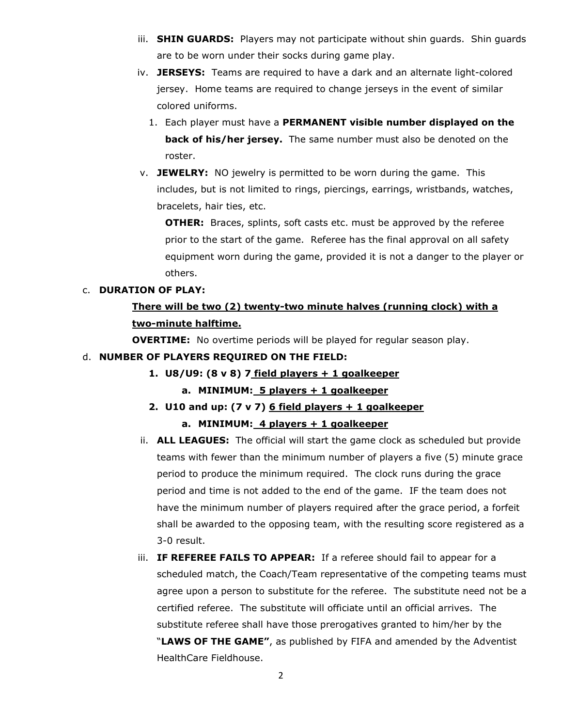- iii. **SHIN GUARDS:** Players may not participate without shin guards. Shin guards are to be worn under their socks during game play.
- iv. **JERSEYS:** Teams are required to have a dark and an alternate light-colored jersey. Home teams are required to change jerseys in the event of similar colored uniforms.
	- 1. Each player must have a **PERMANENT visible number displayed on the back of his/her jersey.** The same number must also be denoted on the roster.
- v. **JEWELRY:** NO jewelry is permitted to be worn during the game. This includes, but is not limited to rings, piercings, earrings, wristbands, watches, bracelets, hair ties, etc.

**OTHER:** Braces, splints, soft casts etc. must be approved by the referee prior to the start of the game. Referee has the final approval on all safety equipment worn during the game, provided it is not a danger to the player or others.

#### c. **DURATION OF PLAY:**

## **There will be two (2) twenty-two minute halves (running clock) with a two-minute halftime.**

**OVERTIME:** No overtime periods will be played for regular season play.

#### d. **NUMBER OF PLAYERS REQUIRED ON THE FIELD:**

**1. U8/U9: (8 v 8) 7 field players + 1 goalkeeper**

#### **a. MINIMUM: 5 players + 1 goalkeeper**

- **2. U10 and up: (7 v 7) 6 field players + 1 goalkeeper a. MINIMUM: 4 players + 1 goalkeeper**
- ii. **ALL LEAGUES:** The official will start the game clock as scheduled but provide teams with fewer than the minimum number of players a five (5) minute grace period to produce the minimum required. The clock runs during the grace period and time is not added to the end of the game. IF the team does not have the minimum number of players required after the grace period, a forfeit shall be awarded to the opposing team, with the resulting score registered as a 3-0 result.
- iii. **IF REFEREE FAILS TO APPEAR:** If a referee should fail to appear for a scheduled match, the Coach/Team representative of the competing teams must agree upon a person to substitute for the referee. The substitute need not be a certified referee. The substitute will officiate until an official arrives. The substitute referee shall have those prerogatives granted to him/her by the "**LAWS OF THE GAME"**, as published by FIFA and amended by the Adventist HealthCare Fieldhouse.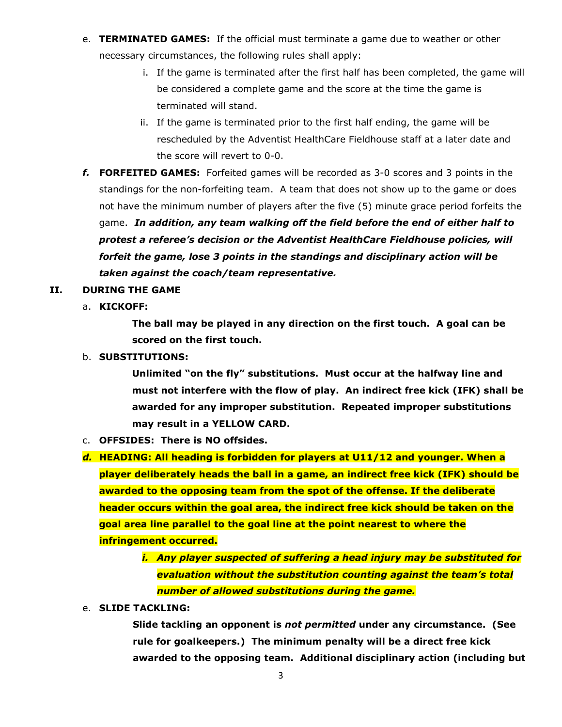- e. **TERMINATED GAMES:** If the official must terminate a game due to weather or other necessary circumstances, the following rules shall apply:
	- i. If the game is terminated after the first half has been completed, the game will be considered a complete game and the score at the time the game is terminated will stand.
	- ii. If the game is terminated prior to the first half ending, the game will be rescheduled by the Adventist HealthCare Fieldhouse staff at a later date and the score will revert to 0-0.
- *f.* **FORFEITED GAMES:** Forfeited games will be recorded as 3-0 scores and 3 points in the standings for the non-forfeiting team. A team that does not show up to the game or does not have the minimum number of players after the five (5) minute grace period forfeits the game. *In addition, any team walking off the field before the end of either half to protest a referee's decision or the Adventist HealthCare Fieldhouse policies, will forfeit the game, lose 3 points in the standings and disciplinary action will be taken against the coach/team representative.*

#### **II. DURING THE GAME**

a. **KICKOFF:** 

**The ball may be played in any direction on the first touch. A goal can be scored on the first touch.**

#### b. **SUBSTITUTIONS:**

**Unlimited "on the fly" substitutions. Must occur at the halfway line and must not interfere with the flow of play. An indirect free kick (IFK) shall be awarded for any improper substitution. Repeated improper substitutions may result in a YELLOW CARD.**

- c. **OFFSIDES: There is NO offsides.**
- *d.* **HEADING: All heading is forbidden for players at U11/12 and younger. When a player deliberately heads the ball in a game, an indirect free kick (IFK) should be awarded to the opposing team from the spot of the offense. If the deliberate header occurs within the goal area, the indirect free kick should be taken on the goal area line parallel to the goal line at the point nearest to where the infringement occurred.**
	- *i. Any player suspected of suffering a head injury may be substituted for evaluation without the substitution counting against the team's total number of allowed substitutions during the game.*
- e. **SLIDE TACKLING:**

**Slide tackling an opponent is** *not permitted* **under any circumstance. (See rule for goalkeepers.) The minimum penalty will be a direct free kick awarded to the opposing team. Additional disciplinary action (including but**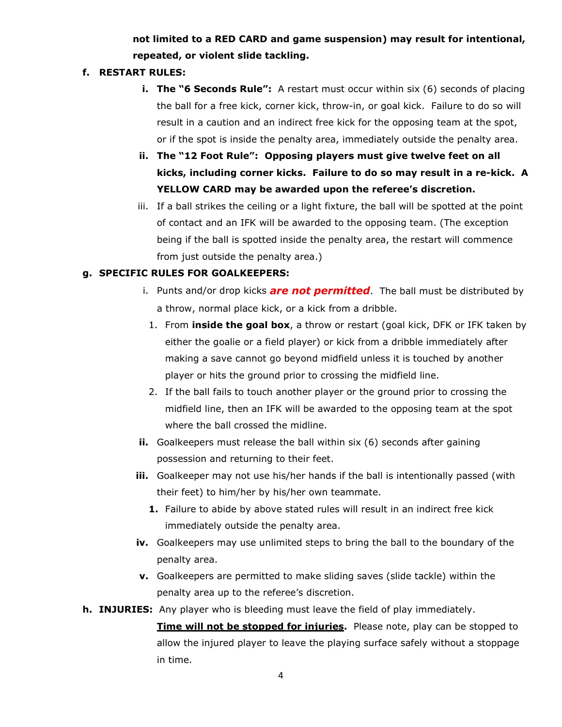## **not limited to a RED CARD and game suspension) may result for intentional, repeated, or violent slide tackling.**

## **f. RESTART RULES:**

- **i. The "6 Seconds Rule":** A restart must occur within six (6) seconds of placing the ball for a free kick, corner kick, throw-in, or goal kick. Failure to do so will result in a caution and an indirect free kick for the opposing team at the spot, or if the spot is inside the penalty area, immediately outside the penalty area.
- **ii. The "12 Foot Rule": Opposing players must give twelve feet on all kicks, including corner kicks. Failure to do so may result in a re-kick. A YELLOW CARD may be awarded upon the referee's discretion.**
- iii. If a ball strikes the ceiling or a light fixture, the ball will be spotted at the point of contact and an IFK will be awarded to the opposing team. (The exception being if the ball is spotted inside the penalty area, the restart will commence from just outside the penalty area.)

### **g. SPECIFIC RULES FOR GOALKEEPERS:**

- i. Punts and/or drop kicks *are not permitted*. The ball must be distributed by a throw, normal place kick, or a kick from a dribble.
	- 1. From **inside the goal box**, a throw or restart (goal kick, DFK or IFK taken by either the goalie or a field player) or kick from a dribble immediately after making a save cannot go beyond midfield unless it is touched by another player or hits the ground prior to crossing the midfield line.
- 2. If the ball fails to touch another player or the ground prior to crossing the midfield line, then an IFK will be awarded to the opposing team at the spot where the ball crossed the midline.
- **ii.** Goalkeepers must release the ball within six (6) seconds after gaining possession and returning to their feet.
- **iii.** Goalkeeper may not use his/her hands if the ball is intentionally passed (with their feet) to him/her by his/her own teammate.
	- **1.** Failure to abide by above stated rules will result in an indirect free kick immediately outside the penalty area.
- **iv.** Goalkeepers may use unlimited steps to bring the ball to the boundary of the penalty area.
- **v.** Goalkeepers are permitted to make sliding saves (slide tackle) within the penalty area up to the referee's discretion.

### **h. INJURIES:** Any player who is bleeding must leave the field of play immediately.

**Time will not be stopped for injuries.** Please note, play can be stopped to allow the injured player to leave the playing surface safely without a stoppage in time.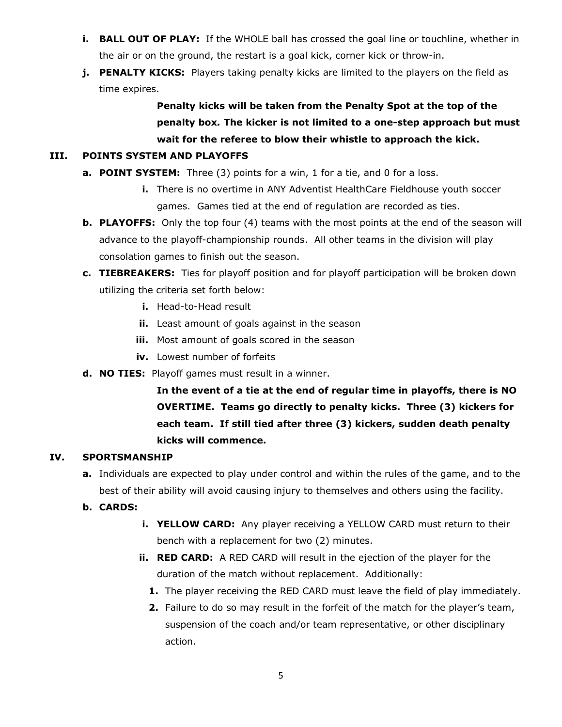- **i. BALL OUT OF PLAY:** If the WHOLE ball has crossed the goal line or touchline, whether in the air or on the ground, the restart is a goal kick, corner kick or throw-in.
- **j. PENALTY KICKS:** Players taking penalty kicks are limited to the players on the field as time expires.

**Penalty kicks will be taken from the Penalty Spot at the top of the penalty box***.* **The kicker is not limited to a one-step approach but must wait for the referee to blow their whistle to approach the kick.**

## **III. POINTS SYSTEM AND PLAYOFFS**

- **a. POINT SYSTEM:** Three (3) points for a win, 1 for a tie, and 0 for a loss.
	- **i.** There is no overtime in ANY Adventist HealthCare Fieldhouse youth soccer games. Games tied at the end of regulation are recorded as ties.
- **b. PLAYOFFS:** Only the top four (4) teams with the most points at the end of the season will advance to the playoff-championship rounds. All other teams in the division will play consolation games to finish out the season.
- **c. TIEBREAKERS:** Ties for playoff position and for playoff participation will be broken down utilizing the criteria set forth below:
	- **i.** Head-to-Head result
	- **ii.** Least amount of goals against in the season
	- **iii.** Most amount of goals scored in the season
	- **iv.** Lowest number of forfeits
- **d. NO TIES:** Playoff games must result in a winner.

**In the event of a tie at the end of regular time in playoffs, there is NO OVERTIME. Teams go directly to penalty kicks. Three (3) kickers for each team. If still tied after three (3) kickers, sudden death penalty kicks will commence.** 

## **IV. SPORTSMANSHIP**

- **a.** Individuals are expected to play under control and within the rules of the game, and to the best of their ability will avoid causing injury to themselves and others using the facility.
- **b. CARDS:**
	- **i. YELLOW CARD:** Any player receiving a YELLOW CARD must return to their bench with a replacement for two (2) minutes.
	- **ii. RED CARD:** A RED CARD will result in the ejection of the player for the duration of the match without replacement. Additionally:
		- **1.** The player receiving the RED CARD must leave the field of play immediately.
		- **2.** Failure to do so may result in the forfeit of the match for the player's team, suspension of the coach and/or team representative, or other disciplinary action.